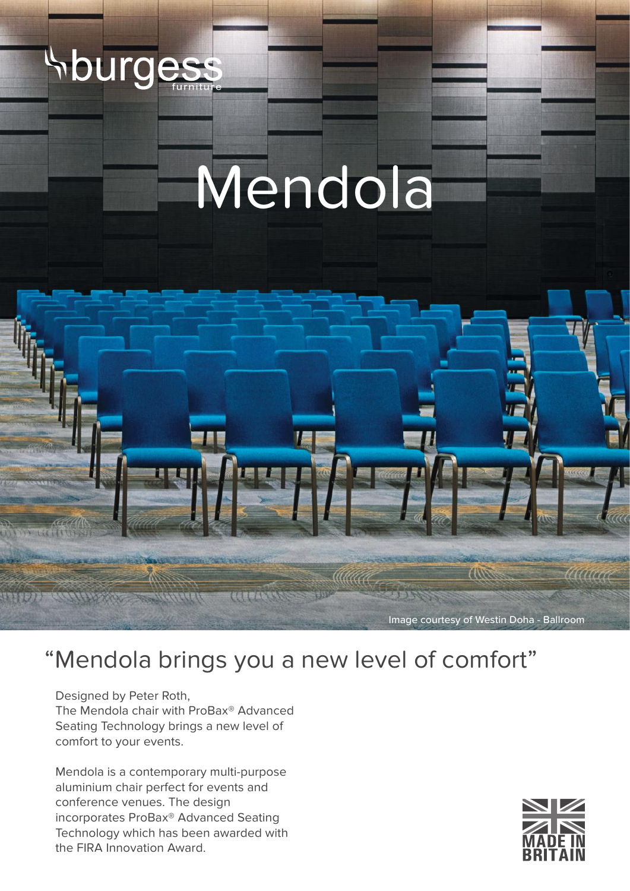

# Mendola



## "Mendola brings you a new level of comfort"

Designed by Peter Roth, The Mendola chair with ProBax® Advanced Seating Technology brings a new level of comfort to your events.

Mendola is a contemporary multi-purpose aluminium chair perfect for events and conference venues. The design incorporates ProBax® Advanced Seating Technology which has been awarded with the FIRA Innovation Award.